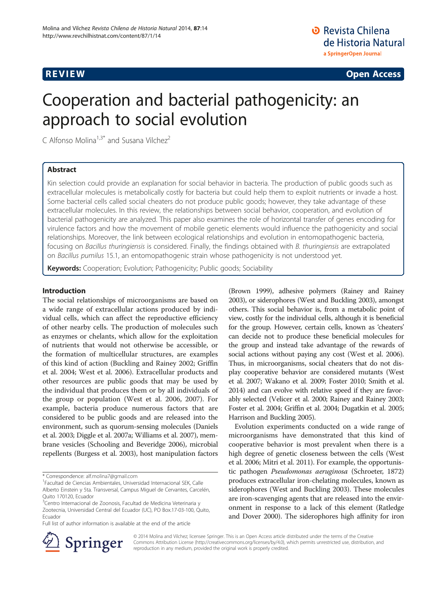**REVIEW CONSTRUCTION CONSTRUCTION CONSTRUCTS** 

# Cooperation and bacterial pathogenicity: an approach to social evolution

C Alfonso Molina<sup>1,3\*</sup> and Susana Vilchez<sup>2</sup>

# Abstract

Kin selection could provide an explanation for social behavior in bacteria. The production of public goods such as extracellular molecules is metabolically costly for bacteria but could help them to exploit nutrients or invade a host. Some bacterial cells called social cheaters do not produce public goods; however, they take advantage of these extracellular molecules. In this review, the relationships between social behavior, cooperation, and evolution of bacterial pathogenicity are analyzed. This paper also examines the role of horizontal transfer of genes encoding for virulence factors and how the movement of mobile genetic elements would influence the pathogenicity and social relationships. Moreover, the link between ecological relationships and evolution in entomopathogenic bacteria, focusing on Bacillus thuringiensis is considered. Finally, the findings obtained with B. thuringiensis are extrapolated on Bacillus pumilus 15.1, an entomopathogenic strain whose pathogenicity is not understood yet.

Keywords: Cooperation; Evolution; Pathogenicity; Public goods; Sociability

# Introduction

The social relationships of microorganisms are based on a wide range of extracellular actions produced by individual cells, which can affect the reproductive efficiency of other nearby cells. The production of molecules such as enzymes or chelants, which allow for the exploitation of nutrients that would not otherwise be accessible, or the formation of multicellular structures, are examples of this kind of action (Buckling and Rainey [2002;](#page-6-0) Griffin et al. [2004;](#page-7-0) West et al. [2006\)](#page-8-0). Extracellular products and other resources are public goods that may be used by the individual that produces them or by all individuals of the group or population (West et al. [2006](#page-8-0), [2007\)](#page-8-0). For example, bacteria produce numerous factors that are considered to be public goods and are released into the environment, such as quorum-sensing molecules (Daniels et al. [2003](#page-6-0); Diggle et al. [2007a](#page-7-0); Williams et al. [2007\)](#page-8-0), membrane vesicles (Schooling and Beveridge [2006\)](#page-8-0), microbial repellents (Burgess et al. [2003](#page-6-0)), host manipulation factors

Full list of author information is available at the end of the article

(Brown [1999\)](#page-6-0), adhesive polymers (Rainey and Rainey [2003\)](#page-8-0), or siderophores (West and Buckling [2003\)](#page-8-0), amongst others. This social behavior is, from a metabolic point of view, costly for the individual cells, although it is beneficial for the group. However, certain cells, known as 'cheaters' can decide not to produce these beneficial molecules for the group and instead take advantage of the rewards of social actions without paying any cost (West et al. [2006](#page-8-0)). Thus, in microorganisms, social cheaters that do not display cooperative behavior are considered mutants (West et al. [2007](#page-8-0); Wakano et al. [2009;](#page-8-0) Foster [2010;](#page-7-0) Smith et al. [2014\)](#page-8-0) and can evolve with relative speed if they are favorably selected (Velicer et al. [2000](#page-8-0); Rainey and Rainey [2003](#page-8-0); Foster et al. [2004;](#page-7-0) Griffin et al. [2004](#page-7-0); Dugatkin et al. [2005](#page-7-0); Harrison and Buckling [2005\)](#page-7-0).

Evolution experiments conducted on a wide range of microorganisms have demonstrated that this kind of cooperative behavior is most prevalent when there is a high degree of genetic closeness between the cells (West et al. [2006](#page-8-0); Mitri et al. [2011](#page-7-0)). For example, the opportunistic pathogen Pseudomonas aeruginosa (Schroeter, 1872) produces extracellular iron-chelating molecules, known as siderophores (West and Buckling [2003\)](#page-8-0). These molecules are iron-scavenging agents that are released into the environment in response to a lack of this element (Ratledge and Dover [2000\)](#page-8-0). The siderophores high affinity for iron



© 2014 Molina and Vilchez; licensee Springer. This is an Open Access article distributed under the terms of the Creative Commons Attribution License (<http://creativecommons.org/licenses/by/4.0>), which permits unrestricted use, distribution, and reproduction in any medium, provided the original work is properly credited.

<sup>\*</sup> Correspondence: [alf.molina7@gmail.com](mailto:alf.molina7@gmail.com) <sup>1</sup>

Facultad de Ciencias Ambientales, Universidad Internacional SEK, Calle Alberto Einstein y 5ta. Transversal, Campus Miguel de Cervantes, Carcelén, Quito 170120, Ecuador

<sup>&</sup>lt;sup>3</sup>Centro Internacional de Zoonosis, Facultad de Medicina Veterinaria y Zootecnia, Universidad Central del Ecuador (UC), PO Box.17-03-100, Quito, Ecuador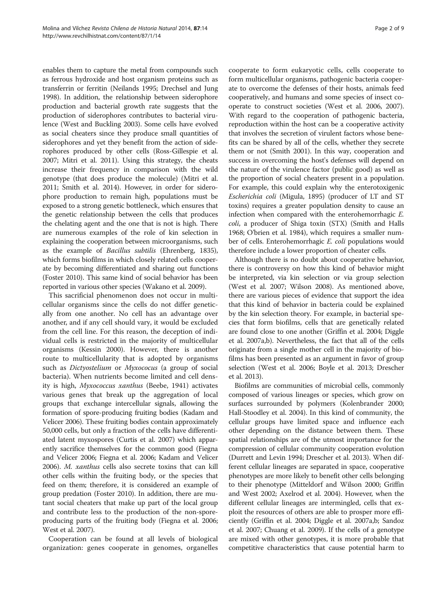enables them to capture the metal from compounds such as ferrous hydroxide and host organism proteins such as transferrin or ferritin (Neilands [1995](#page-7-0); Drechsel and Jung [1998\)](#page-7-0). In addition, the relationship between siderophore production and bacterial growth rate suggests that the production of siderophores contributes to bacterial virulence (West and Buckling [2003\)](#page-8-0). Some cells have evolved as social cheaters since they produce small quantities of siderophores and yet they benefit from the action of siderophores produced by other cells (Ross-Gillespie et al. [2007;](#page-8-0) Mitri et al. [2011](#page-7-0)). Using this strategy, the cheats increase their frequency in comparison with the wild genotype (that does produce the molecule) (Mitri et al. [2011;](#page-7-0) Smith et al. [2014](#page-8-0)). However, in order for siderophore production to remain high, populations must be exposed to a strong genetic bottleneck, which ensures that the genetic relationship between the cells that produces the chelating agent and the one that is not is high. There are numerous examples of the role of kin selection in explaining the cooperation between microorganisms, such as the example of Bacillus subtilis (Ehrenberg, 1835), which forms biofilms in which closely related cells cooperate by becoming differentiated and sharing out functions (Foster [2010\)](#page-7-0). This same kind of social behavior has been reported in various other species (Wakano et al. [2009\)](#page-8-0).

This sacrificial phenomenon does not occur in multicellular organisms since the cells do not differ genetically from one another. No cell has an advantage over another, and if any cell should vary, it would be excluded from the cell line. For this reason, the deception of individual cells is restricted in the majority of multicellular organisms (Kessin [2000](#page-7-0)). However, there is another route to multicellularity that is adopted by organisms such as Dictyostelium or Myxococus (a group of social bacteria). When nutrients become limited and cell density is high, Myxococcus xanthus (Beebe, 1941) activates various genes that break up the aggregation of local groups that exchange intercellular signals, allowing the formation of spore-producing fruiting bodies (Kadam and Velicer [2006](#page-7-0)). These fruiting bodies contain approximately 50,000 cells, but only a fraction of the cells have differentiated latent myxospores (Curtis et al. [2007\)](#page-6-0) which apparently sacrifice themselves for the common good (Fiegna and Velicer [2006;](#page-7-0) Fiegna et al. [2006;](#page-7-0) Kadam and Velicer [2006\)](#page-7-0). M. xanthus cells also secrete toxins that can kill other cells within the fruiting body, or the species that feed on them; therefore, it is considered an example of group predation (Foster [2010\)](#page-7-0). In addition, there are mutant social cheaters that make up part of the local group and contribute less to the production of the non-sporeproducing parts of the fruiting body (Fiegna et al. [2006](#page-7-0); West et al. [2007](#page-8-0)).

Cooperation can be found at all levels of biological organization: genes cooperate in genomes, organelles

cooperate to form eukaryotic cells, cells cooperate to form multicellular organisms, pathogenic bacteria cooperate to overcome the defenses of their hosts, animals feed cooperatively, and humans and some species of insect cooperate to construct societies (West et al. [2006](#page-8-0), [2007](#page-8-0)). With regard to the cooperation of pathogenic bacteria, reproduction within the host can be a cooperative activity that involves the secretion of virulent factors whose benefits can be shared by all of the cells, whether they secrete them or not (Smith [2001](#page-8-0)). In this way, cooperation and success in overcoming the host's defenses will depend on the nature of the virulence factor (public good) as well as the proportion of social cheaters present in a population. For example, this could explain why the enterotoxigenic Escherichia coli (Migula, 1895) (producer of LT and ST toxins) requires a greater population density to cause an infection when compared with the enterohemorrhagic E. coli, a producer of Shiga toxin (STX) (Smith and Halls [1968;](#page-8-0) O'brien et al. [1984\)](#page-8-0), which requires a smaller number of cells. Enterohemorrhagic E. coli populations would therefore include a lower proportion of cheater cells.

Although there is no doubt about cooperative behavior, there is controversy on how this kind of behavior might be interpreted, via kin selection or via group selection (West et al. [2007](#page-8-0); Wilson [2008](#page-8-0)). As mentioned above, there are various pieces of evidence that support the idea that this kind of behavior in bacteria could be explained by the kin selection theory. For example, in bacterial species that form biofilms, cells that are genetically related are found close to one another (Griffin et al. [2004;](#page-7-0) Diggle et al. [2007a](#page-7-0),[b\)](#page-7-0). Nevertheless, the fact that all of the cells originate from a single mother cell in the majority of biofilms has been presented as an argument in favor of group selection (West et al. [2006;](#page-8-0) Boyle et al. [2013;](#page-6-0) Drescher et al. [2013](#page-7-0)).

Biofilms are communities of microbial cells, commonly composed of various lineages or species, which grow on surfaces surrounded by polymers (Kolenbrander [2000](#page-7-0); Hall-Stoodley et al. [2004](#page-7-0)). In this kind of community, the cellular groups have limited space and influence each other depending on the distance between them. These spatial relationships are of the utmost importance for the compression of cellular community cooperation evolution (Durrett and Levin [1994;](#page-7-0) Drescher et al. [2013\)](#page-7-0). When different cellular lineages are separated in space, cooperative phenotypes are more likely to benefit other cells belonging to their phenotype (Mitteldorf and Wilson [2000;](#page-7-0) Griffin and West [2002;](#page-7-0) Axelrod et al. [2004\)](#page-6-0). However, when the different cellular lineages are intermingled, cells that exploit the resources of others are able to prosper more efficiently (Griffin et al. [2004](#page-7-0); Diggle et al. [2007a,b](#page-7-0); Sandoz et al. [2007;](#page-8-0) Chuang et al. [2009](#page-6-0)). If the cells of a genotype are mixed with other genotypes, it is more probable that competitive characteristics that cause potential harm to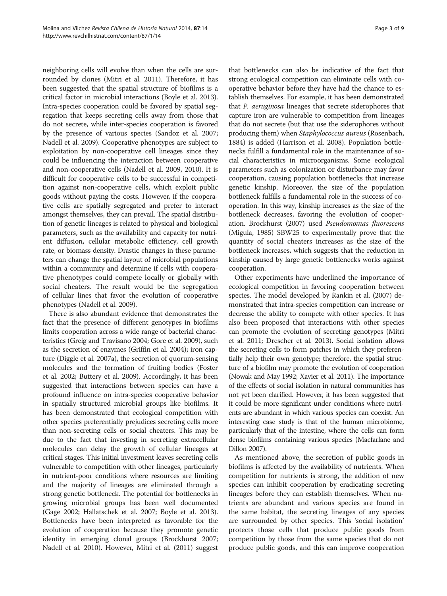neighboring cells will evolve than when the cells are surrounded by clones (Mitri et al. [2011](#page-7-0)). Therefore, it has been suggested that the spatial structure of biofilms is a critical factor in microbial interactions (Boyle et al. [2013](#page-6-0)). Intra-species cooperation could be favored by spatial segregation that keeps secreting cells away from those that do not secrete, while inter-species cooperation is favored by the presence of various species (Sandoz et al. [2007](#page-8-0); Nadell et al. [2009\)](#page-7-0). Cooperative phenotypes are subject to exploitation by non-cooperative cell lineages since they could be influencing the interaction between cooperative and non-cooperative cells (Nadell et al. [2009, 2010\)](#page-7-0). It is difficult for cooperative cells to be successful in competition against non-cooperative cells, which exploit public goods without paying the costs. However, if the cooperative cells are spatially segregated and prefer to interact amongst themselves, they can prevail. The spatial distribution of genetic lineages is related to physical and biological parameters, such as the availability and capacity for nutrient diffusion, cellular metabolic efficiency, cell growth rate, or biomass density. Drastic changes in these parameters can change the spatial layout of microbial populations within a community and determine if cells with cooperative phenotypes could compete locally or globally with social cheaters. The result would be the segregation of cellular lines that favor the evolution of cooperative phenotypes (Nadell et al. [2009](#page-7-0)).

There is also abundant evidence that demonstrates the fact that the presence of different genotypes in biofilms limits cooperation across a wide range of bacterial characteristics (Greig and Travisano [2004](#page-7-0); Gore et al. [2009](#page-7-0)), such as the secretion of enzymes (Griffin et al. [2004](#page-7-0)); iron capture (Diggle et al. [2007a](#page-7-0)), the secretion of quorum-sensing molecules and the formation of fruiting bodies (Foster et al. [2002;](#page-7-0) Buttery et al. [2009\)](#page-6-0). Accordingly, it has been suggested that interactions between species can have a profound influence on intra-species cooperative behavior in spatially structured microbial groups like biofilms. It has been demonstrated that ecological competition with other species preferentially prejudices secreting cells more than non-secreting cells or social cheaters. This may be due to the fact that investing in secreting extracellular molecules can delay the growth of cellular lineages at critical stages. This initial investment leaves secreting cells vulnerable to competition with other lineages, particularly in nutrient-poor conditions where resources are limiting and the majority of lineages are eliminated through a strong genetic bottleneck. The potential for bottlenecks in growing microbial groups has been well documented (Gage [2002](#page-7-0); Hallatschek et al. [2007](#page-7-0); Boyle et al. [2013](#page-6-0)). Bottlenecks have been interpreted as favorable for the evolution of cooperation because they promote genetic identity in emerging clonal groups (Brockhurst [2007](#page-6-0); Nadell et al. [2010](#page-7-0)). However, Mitri et al. ([2011\)](#page-7-0) suggest

that bottlenecks can also be indicative of the fact that strong ecological competition can eliminate cells with cooperative behavior before they have had the chance to establish themselves. For example, it has been demonstrated that *P. aeruginosa* lineages that secrete siderophores that capture iron are vulnerable to competition from lineages that do not secrete (but that use the siderophores without producing them) when Staphylococcus aureus (Rosenbach, 1884) is added (Harrison et al. [2008](#page-7-0)). Population bottlenecks fulfill a fundamental role in the maintenance of social characteristics in microorganisms. Some ecological parameters such as colonization or disturbance may favor cooperation, causing population bottlenecks that increase genetic kinship. Moreover, the size of the population bottleneck fulfills a fundamental role in the success of cooperation. In this way, kinship increases as the size of the bottleneck decreases, favoring the evolution of cooper-ation. Brockhurst [\(2007](#page-6-0)) used Pseudomomas fluorescens (Migula, 1985) SBW25 to experimentally prove that the quantity of social cheaters increases as the size of the bottleneck increases, which suggests that the reduction in kinship caused by large genetic bottlenecks works against cooperation.

Other experiments have underlined the importance of ecological competition in favoring cooperation between species. The model developed by Rankin et al. ([2007](#page-8-0)) demonstrated that intra-species competition can increase or decrease the ability to compete with other species. It has also been proposed that interactions with other species can promote the evolution of secreting genotypes (Mitri et al. [2011;](#page-7-0) Drescher et al. [2013\)](#page-7-0). Social isolation allows the secreting cells to form patches in which they preferentially help their own genotype; therefore, the spatial structure of a biofilm may promote the evolution of cooperation (Nowak and May [1992;](#page-8-0) Xavier et al. [2011\)](#page-8-0). The importance of the effects of social isolation in natural communities has not yet been clarified. However, it has been suggested that it could be more significant under conditions where nutrients are abundant in which various species can coexist. An interesting case study is that of the human microbiome, particularly that of the intestine, where the cells can form dense biofilms containing various species (Macfarlane and Dillon [2007](#page-7-0)).

As mentioned above, the secretion of public goods in biofilms is affected by the availability of nutrients. When competition for nutrients is strong, the addition of new species can inhibit cooperation by eradicating secreting lineages before they can establish themselves. When nutrients are abundant and various species are found in the same habitat, the secreting lineages of any species are surrounded by other species. This 'social isolation' protects those cells that produce public goods from competition by those from the same species that do not produce public goods, and this can improve cooperation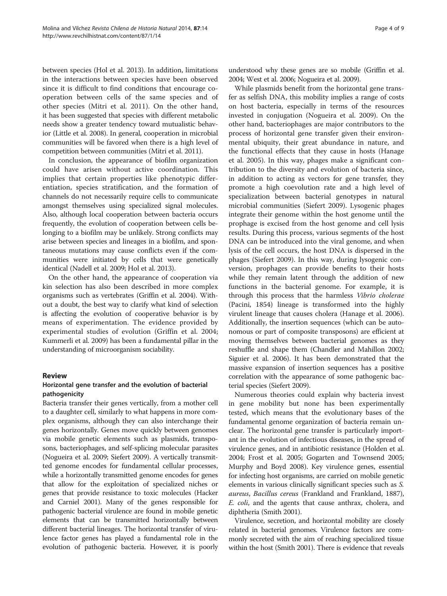between species (Hol et al. [2013\)](#page-7-0). In addition, limitations in the interactions between species have been observed since it is difficult to find conditions that encourage cooperation between cells of the same species and of other species (Mitri et al. [2011](#page-7-0)). On the other hand, it has been suggested that species with different metabolic needs show a greater tendency toward mutualistic behavior (Little et al. [2008\)](#page-7-0). In general, cooperation in microbial communities will be favored when there is a high level of competition between communities (Mitri et al. [2011](#page-7-0)).

In conclusion, the appearance of biofilm organization could have arisen without active coordination. This implies that certain properties like phenotypic differentiation, species stratification, and the formation of channels do not necessarily require cells to communicate amongst themselves using specialized signal molecules. Also, although local cooperation between bacteria occurs frequently, the evolution of cooperation between cells belonging to a biofilm may be unlikely. Strong conflicts may arise between species and lineages in a biofilm, and spontaneous mutations may cause conflicts even if the communities were initiated by cells that were genetically identical (Nadell et al. [2009;](#page-7-0) Hol et al. [2013\)](#page-7-0).

On the other hand, the appearance of cooperation via kin selection has also been described in more complex organisms such as vertebrates (Griffin et al. [2004\)](#page-7-0). Without a doubt, the best way to clarify what kind of selection is affecting the evolution of cooperative behavior is by means of experimentation. The evidence provided by experimental studies of evolution (Griffin et al. [2004](#page-7-0); Kummerli et al. [2009\)](#page-7-0) has been a fundamental pillar in the understanding of microorganism sociability.

## Review

# Horizontal gene transfer and the evolution of bacterial pathogenicity

Bacteria transfer their genes vertically, from a mother cell to a daughter cell, similarly to what happens in more complex organisms, although they can also interchange their genes horizontally. Genes move quickly between genomes via mobile genetic elements such as plasmids, transposons, bacteriophages, and self-splicing molecular parasites (Nogueira et al. [2009](#page-7-0); Siefert [2009\)](#page-8-0). A vertically transmitted genome encodes for fundamental cellular processes, while a horizontally transmitted genome encodes for genes that allow for the exploitation of specialized niches or genes that provide resistance to toxic molecules (Hacker and Carniel [2001](#page-7-0)). Many of the genes responsible for pathogenic bacterial virulence are found in mobile genetic elements that can be transmitted horizontally between different bacterial lineages. The horizontal transfer of virulence factor genes has played a fundamental role in the evolution of pathogenic bacteria. However, it is poorly

understood why these genes are so mobile (Griffin et al. [2004;](#page-7-0) West et al. [2006;](#page-8-0) Nogueira et al. [2009\)](#page-7-0).

While plasmids benefit from the horizontal gene transfer as selfish DNA, this mobility implies a range of costs on host bacteria, especially in terms of the resources invested in conjugation (Nogueira et al. [2009](#page-7-0)). On the other hand, bacteriophages are major contributors to the process of horizontal gene transfer given their environmental ubiquity, their great abundance in nature, and the functional effects that they cause in hosts (Hanage et al. [2005](#page-7-0)). In this way, phages make a significant contribution to the diversity and evolution of bacteria since, in addition to acting as vectors for gene transfer, they promote a high coevolution rate and a high level of specialization between bacterial genotypes in natural microbial communities (Siefert [2009](#page-8-0)). Lysogenic phages integrate their genome within the host genome until the prophage is excised from the host genome and cell lysis results. During this process, various segments of the host DNA can be introduced into the viral genome, and when lysis of the cell occurs, the host DNA is dispersed in the phages (Siefert [2009](#page-8-0)). In this way, during lysogenic conversion, prophages can provide benefits to their hosts while they remain latent through the addition of new functions in the bacterial genome. For example, it is through this process that the harmless Vibrio cholerae (Pacini, 1854) lineage is transformed into the highly virulent lineage that causes cholera (Hanage et al. [2006](#page-7-0)). Additionally, the insertion sequences (which can be autonomous or part of composite transposons) are efficient at moving themselves between bacterial genomes as they reshuffle and shape them (Chandler and Mahillon [2002](#page-6-0); Siguier et al. [2006](#page-8-0)). It has been demonstrated that the massive expansion of insertion sequences has a positive correlation with the appearance of some pathogenic bacterial species (Siefert [2009\)](#page-8-0).

Numerous theories could explain why bacteria invest in gene mobility but none has been experimentally tested, which means that the evolutionary bases of the fundamental genome organization of bacteria remain unclear. The horizontal gene transfer is particularly important in the evolution of infectious diseases, in the spread of virulence genes, and in antibiotic resistance (Holden et al. [2004;](#page-7-0) Frost et al. [2005](#page-7-0); Gogarten and Townsend [2005](#page-7-0); Murphy and Boyd [2008](#page-7-0)). Key virulence genes, essential for infecting host organisms, are carried on mobile genetic elements in various clinically significant species such as S. aureus, Bacillus cereus (Frankland and Frankland, 1887), E. coli, and the agents that cause anthrax, cholera, and diphtheria (Smith [2001](#page-8-0)).

Virulence, secretion, and horizontal mobility are closely related in bacterial genomes. Virulence factors are commonly secreted with the aim of reaching specialized tissue within the host (Smith [2001\)](#page-8-0). There is evidence that reveals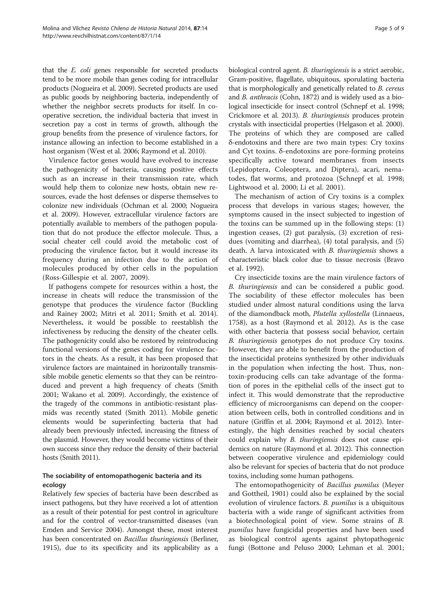that the E. coli genes responsible for secreted products tend to be more mobile than genes coding for intracellular products (Nogueira et al. [2009](#page-7-0)). Secreted products are used as public goods by neighboring bacteria, independently of whether the neighbor secrets products for itself. In cooperative secretion, the individual bacteria that invest in secretion pay a cost in terms of growth, although the group benefits from the presence of virulence factors, for instance allowing an infection to become established in a host organism (West et al. [2006;](#page-8-0) Raymond et al. [2010\)](#page-8-0).

Virulence factor genes would have evolved to increase the pathogenicity of bacteria, causing positive effects such as an increase in their transmission rate, which would help them to colonize new hosts, obtain new resources, evade the host defenses or disperse themselves to colonize new individuals (Ochman et al. [2000](#page-8-0); Nogueira et al. [2009](#page-7-0)). However, extracellular virulence factors are potentially available to members of the pathogen population that do not produce the effector molecule. Thus, a social cheater cell could avoid the metabolic cost of producing the virulence factor, but it would increase its frequency during an infection due to the action of molecules produced by other cells in the population (Ross-Gillespie et al. [2007, 2009\)](#page-8-0).

If pathogens compete for resources within a host, the increase in cheats will reduce the transmission of the genotype that produces the virulence factor (Buckling and Rainey [2002;](#page-6-0) Mitri et al. [2011;](#page-7-0) Smith et al. [2014](#page-8-0)). Nevertheless, it would be possible to reestablish the infectiveness by reducing the density of the cheater cells. The pathogenicity could also be restored by reintroducing functional versions of the genes coding for virulence factors in the cheats. As a result, it has been proposed that virulence factors are maintained in horizontally transmissible mobile genetic elements so that they can be reintroduced and prevent a high frequency of cheats (Smith [2001;](#page-8-0) Wakano et al. [2009\)](#page-8-0). Accordingly, the existence of the tragedy of the commons in antibiotic-resistant plasmids was recently stated (Smith [2011](#page-8-0)). Mobile genetic elements would be superinfecting bacteria that had already been previously infected, increasing the fitness of the plasmid. However, they would become victims of their own success since they reduce the density of their bacterial hosts (Smith [2011](#page-8-0)).

# The sociability of entomopathogenic bacteria and its ecology

Relatively few species of bacteria have been described as insect pathogens, but they have received a lot of attention as a result of their potential for pest control in agriculture and for the control of vector-transmitted diseases (van Emden and Service [2004\)](#page-8-0). Amongst these, most interest has been concentrated on *Bacillus thuringiensis* (Berliner, 1915), due to its specificity and its applicability as a biological control agent. B. thuringiensis is a strict aerobic, Gram-positive, flagellate, ubiquitous, sporulating bacteria that is morphologically and genetically related to B. cereus and B. anthracis (Cohn, 1872) and is widely used as a biological insecticide for insect control (Schnepf et al. [1998](#page-8-0); Crickmore et al. [2013](#page-6-0)). B. thuringiensis produces protein crystals with insecticidal properties (Helgason et al. [2000](#page-7-0)). The proteins of which they are composed are called δ-endotoxins and there are two main types: Cry toxins and Cyt toxins. δ-endotoxins are pore-forming proteins specifically active toward membranes from insects (Lepidoptera, Coleoptera, and Diptera), acari, nematodes, flat worms, and protozoa (Schnepf et al. [1998](#page-8-0); Lightwood et al. [2000](#page-7-0); Li et al. [2001](#page-7-0)).

The mechanism of action of Cry toxins is a complex process that develops in various stages; however, the symptoms caused in the insect subjected to ingestion of the toxins can be summed up in the following steps: (1) ingestion ceases, (2) gut paralysis, (3) excretion of residues (vomiting and diarrhea), (4) total paralysis, and (5) death. A larva intoxicated with B. thuringiensis shows a characteristic black color due to tissue necrosis (Bravo et al. [1992\)](#page-6-0).

Cry insecticide toxins are the main virulence factors of B. thuringiensis and can be considered a public good. The sociability of these effector molecules has been studied under almost natural conditions using the larva of the diamondback moth, Plutella xyllostella (Linnaeus, 1758), as a host (Raymond et al. [2012\)](#page-8-0). As is the case with other bacteria that possess social behavior, certain B. thuringiensis genotypes do not produce Cry toxins. However, they are able to benefit from the production of the insecticidal proteins synthesized by other individuals in the population when infecting the host. Thus, nontoxin-producing cells can take advantage of the formation of pores in the epithelial cells of the insect gut to infect it. This would demonstrate that the reproductive efficiency of microorganisms can depend on the cooperation between cells, both in controlled conditions and in nature (Griffin et al. [2004](#page-7-0); Raymond et al. [2012](#page-8-0)). Interestingly, the high densities reached by social cheaters could explain why *B. thuringiensis* does not cause epidemics on nature (Raymond et al. [2012\)](#page-8-0). This connection between cooperative virulence and epidemiology could also be relevant for species of bacteria that do not produce toxins, including some human pathogens.

The entomopathogenicity of Bacillus pumilus (Meyer and Gottheil, 1901) could also be explained by the social evolution of virulence factors. B. pumilus is a ubiquitous bacteria with a wide range of significant activities from a biotechnological point of view. Some strains of B. pumilus have fungicidal properties and have been used as biological control agents against phytopathogenic fungi (Bottone and Peluso [2000;](#page-6-0) Lehman et al. [2001](#page-7-0);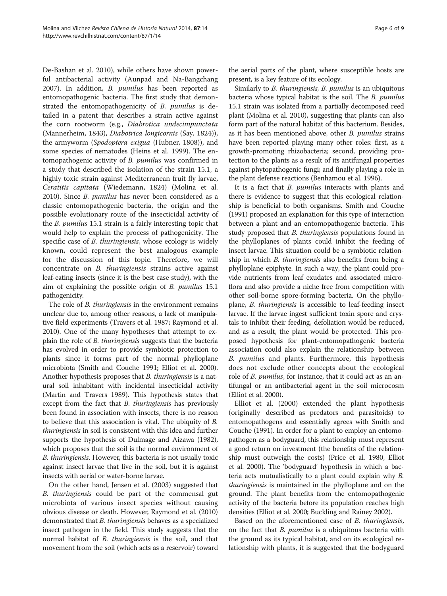De-Bashan et al. [2010\)](#page-6-0), while others have shown powerful antibacterial activity (Aunpad and Na-Bangchang [2007](#page-6-0)). In addition, *B. pumilus* has been reported as entomopathogenic bacteria. The first study that demonstrated the entomopathogenicity of B. pumilus is detailed in a patent that describes a strain active against the corn rootworm (e.g., Diabrotica undecimpunctata (Mannerheim, 1843), Diabotrica longicornis (Say, 1824)), the armyworm (Spodoptera exigua (Hubner, 1808)), and some species of nematodes (Heins et al. [1999](#page-7-0)). The entomopathogenic activity of B. pumilus was confirmed in a study that described the isolation of the strain 15.1, a highly toxic strain against Mediterranean fruit fly larvae, Ceratitis capitata (Wiedemann, 1824) (Molina et al. [2010](#page-7-0)). Since B. pumilus has never been considered as a classic entomopathogenic bacteria, the origin and the possible evolutionary route of the insecticidal activity of the B. pumilus 15.1 strain is a fairly interesting topic that would help to explain the process of pathogenicity. The specific case of *B. thuringiensis*, whose ecology is widely known, could represent the best analogous example for the discussion of this topic. Therefore, we will concentrate on B. thuringiensis strains active against leaf-eating insects (since it is the best case study), with the aim of explaining the possible origin of B. pumilus 15.1 pathogenicity.

The role of *B. thuringiensis* in the environment remains unclear due to, among other reasons, a lack of manipulative field experiments (Travers et al. [1987;](#page-8-0) Raymond et al. [2010\)](#page-8-0). One of the many hypotheses that attempt to explain the role of B. thuringiensis suggests that the bacteria has evolved in order to provide symbiotic protection to plants since it forms part of the normal phylloplane microbiota (Smith and Couche [1991](#page-8-0); Elliot et al. [2000](#page-7-0)). Another hypothesis proposes that *B. thuringiensis* is a natural soil inhabitant with incidental insecticidal activity (Martin and Travers [1989](#page-7-0)). This hypothesis states that except from the fact that *B. thuringiensis* has previously been found in association with insects, there is no reason to believe that this association is vital. The ubiquity of B. thuringiensis in soil is consistent with this idea and further supports the hypothesis of Dulmage and Aizawa [\(1982](#page-7-0)), which proposes that the soil is the normal environment of B. thuringiensis. However, this bacteria is not usually toxic against insect larvae that live in the soil, but it is against insects with aerial or water-borne larvae.

On the other hand, Jensen et al. [\(2003\)](#page-7-0) suggested that B. thuringiensis could be part of the commensal gut microbiota of various insect species without causing obvious disease or death. However, Raymond et al. [\(2010](#page-8-0)) demonstrated that B. thuringiensis behaves as a specialized insect pathogen in the field. This study suggests that the normal habitat of *B. thuringiensis* is the soil, and that movement from the soil (which acts as a reservoir) toward

the aerial parts of the plant, where susceptible hosts are present, is a key feature of its ecology.

Similarly to B. thuringiensis, B. pumilus is an ubiquitous bacteria whose typical habitat is the soil. The B. pumilus 15.1 strain was isolated from a partially decomposed reed plant (Molina et al. [2010\)](#page-7-0), suggesting that plants can also form part of the natural habitat of this bacterium. Besides, as it has been mentioned above, other B. pumilus strains have been reported playing many other roles: first, as a growth-promoting rhizobacteria; second, providing protection to the plants as a result of its antifungal properties against phytopathogenic fungi; and finally playing a role in the plant defense reactions (Benhamou et al. [1996\)](#page-6-0).

It is a fact that *B. pumilus* interacts with plants and there is evidence to suggest that this ecological relationship is beneficial to both organisms. Smith and Couche ([1991](#page-8-0)) proposed an explanation for this type of interaction between a plant and an entomopathogenic bacteria. This study proposed that *B. thuringiensis* populations found in the phylloplanes of plants could inhibit the feeding of insect larvae. This situation could be a symbiotic relationship in which *B. thuringiensis* also benefits from being a phylloplane epiphyte. In such a way, the plant could provide nutrients from leaf exudates and associated microflora and also provide a niche free from competition with other soil-borne spore-forming bacteria. On the phylloplane, B. thuringiensis is accessible to leaf-feeding insect larvae. If the larvae ingest sufficient toxin spore and crystals to inhibit their feeding, defoliation would be reduced, and as a result, the plant would be protected. This proposed hypothesis for plant-entomopathogenic bacteria association could also explain the relationship between B. *pumilus* and plants. Furthermore, this hypothesis does not exclude other concepts about the ecological role of *B. pumilus*, for instance, that it could act as an antifungal or an antibacterial agent in the soil microcosm (Elliot et al. [2000](#page-7-0)).

Elliot et al. ([2000](#page-7-0)) extended the plant hypothesis (originally described as predators and parasitoids) to entomopathogens and essentially agrees with Smith and Couche [\(1991\)](#page-8-0). In order for a plant to employ an entomopathogen as a bodyguard, this relationship must represent a good return on investment (the benefits of the relationship must outweigh the costs) (Price et al. [1980,](#page-8-0) Elliot et al. [2000](#page-7-0)). The 'bodyguard' hypothesis in which a bacteria acts mutualistically to a plant could explain why B. thuringiensis is maintained in the phylloplane and on the ground. The plant benefits from the entomopathogenic activity of the bacteria before its population reaches high densities (Elliot et al. [2000](#page-7-0); Buckling and Rainey [2002\)](#page-6-0).

Based on the aforementioned case of B. thuringiensis, on the fact that *B. pumilus* is a ubiquitous bacteria with the ground as its typical habitat, and on its ecological relationship with plants, it is suggested that the bodyguard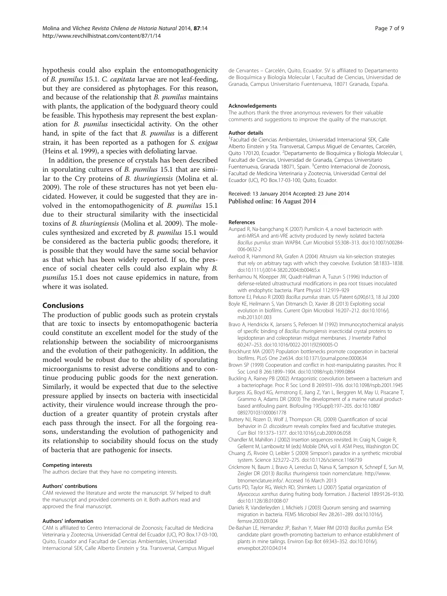<span id="page-6-0"></span>hypothesis could also explain the entomopathogenicity of B. pumilus 15.1. C. capitata larvae are not leaf-feeding, but they are considered as phytophages. For this reason, and because of the relationship that *B. pumilus* maintains with plants, the application of the bodyguard theory could be feasible. This hypothesis may represent the best explanation for B. pumilus insecticidal activity. On the other hand, in spite of the fact that *B. pumilus* is a different strain, it has been reported as a pathogen for S. exigua (Heins et al. [1999](#page-7-0)), a species with defoliating larvae.

In addition, the presence of crystals has been described in sporulating cultures of B. pumilus 15.1 that are similar to the Cry proteins of B. thuringiensis (Molina et al. [2009](#page-7-0)). The role of these structures has not yet been elucidated. However, it could be suggested that they are involved in the entomopathogenicity of B. pumilus 15.1 due to their structural similarity with the insecticidal toxins of B. thuringiensis (Molina et al. [2009](#page-7-0)). The molecules synthesized and excreted by B. pumilus 15.1 would be considered as the bacteria public goods; therefore, it is possible that they would have the same social behavior as that which has been widely reported. If so, the presence of social cheater cells could also explain why B. pumilus 15.1 does not cause epidemics in nature, from where it was isolated.

# Conclusions

The production of public goods such as protein crystals that are toxic to insects by entomopathogenic bacteria could constitute an excellent model for the study of the relationship between the sociability of microorganisms and the evolution of their pathogenicity. In addition, the model would be robust due to the ability of sporulating microorganisms to resist adverse conditions and to continue producing public goods for the next generation. Similarly, it would be expected that due to the selective pressure applied by insects on bacteria with insecticidal activity, their virulence would increase through the production of a greater quantity of protein crystals after each pass through the insect. For all the forgoing reasons, understanding the evolution of pathogenicity and its relationship to sociability should focus on the study of bacteria that are pathogenic for insects.

#### Competing interests

The authors declare that they have no competing interests.

#### Authors' contributions

CAM reviewed the literature and wrote the manuscript. SV helped to draft the manuscript and provided comments on it. Both authors read and approved the final manuscript.

#### Authors' information

CAM is affiliated to Centro Internacional de Zoonosis; Facultad de Medicina Veterinaria y Zootecnia, Universidad Central del Ecuador (UC), PO Box.17-03-100, Quito, Ecuador and Facultad de Ciencias Ambientales, Universidad Internacional SEK, Calle Alberto Einstein y 5ta. Transversal, Campus Miguel

de Cervantes – Carcelén, Quito, Ecuador. SV is affiliated to Departamento de Bioquímica y Biología Molecular I, Facultad de Ciencias, Universidad de Granada, Campus Universitario Fuentenueva, 18071 Granada, España.

#### Acknowledgements

The authors thank the three anonymous reviewers for their valuable comments and suggestions to improve the quality of the manuscript.

#### Author details

1 Facultad de Ciencias Ambientales, Universidad Internacional SEK, Calle Alberto Einstein y 5ta. Transversal, Campus Miguel de Cervantes, Carcelén, Quito 170120, Ecuador. <sup>2</sup>Departamento de Bioquímica y Biología Molecular I, Facultad de Ciencias, Universidad de Granada, Campus Universitario Fuentenueva, Granada 18071, Spain. <sup>3</sup>Centro Internacional de Zoonosis Facultad de Medicina Veterinaria y Zootecnia, Universidad Central del Ecuador (UC), PO Box.17-03-100, Quito, Ecuador.

#### Received: 13 January 2014 Accepted: 23 June 2014 Published online: 16 August 2014

#### References

- Aunpad R, Na-bangchang K (2007) Pumilicin 4, a novel bacteriocin with anti-MRSA and anti-VRE activity produced by newly isolated bacteria Bacillus pumilus strain WAPB4. Curr Microbiol 55:308–313. doi:10.1007/s00284- 006-0632-2
- Axelrod R, Hammond RA, Grafen A (2004) Altruism via kin-selection strategies that rely on arbitrary tags with which they coevolve. Evolution 58:1833–1838. doi:10.1111/j.0014-3820.2004.tb00465.x
- Benhamou N, Kloepper JW, Quadt-Hallman A, Tuzun S (1996) Induction of defense-related ultrastructural modifications in pea root tissues inoculated with endophytic bacteria. Plant Physiol 112:919–929
- Bottone EJ, Peluso R (2000) Bacillus pumilus strain. US Patent 6,090,613, 18 Jul 2000
- Boyle KE, Heilmann S, Van Ditmarsch D, Xavier JB (2013) Exploiting social evolution in biofilms. Current Opin Microbiol 16:207–212. doi:10.1016/j. mib.2013.01.003
- Bravo A, Hendrickx K, Jansens S, Peferoen M (1992) Immunocytochemical analysis of specific binding of Bacillus thuringiensis insecticidal crystal proteins to lepidopteran and coleopteran midgut membranes. J Invertebr Pathol 60:247–253. doi:10.1016/0022-2011(92)90005-O
- Brockhurst MA (2007) Population bottlenecks promote cooperation in bacterial biofilms. PLoS One 2:e634. doi:10.1371/journal.pone.0000634
- Brown SP (1999) Cooperation and conflict in host-manipulating parasites. Proc R Soc Lond B 266:1899–1904. doi:10.1098/rspb.1999.0864
- Buckling A, Rainey PB (2002) Antagonistic coevolution between a bacterium and a bacteriophage. Proc R Soc Lond B 269:931–936. doi:10.1098/rspb.2001.1945
- Burgess JG, Boyd KG, Armstrong E, Jiang Z, Yan L, Berggren M, May U, Pisacane T, Grammo A, Adams DR (2003) The development of a marine natural productbased antifouling paint. Biofouling 19(Suppl):197–205. doi:10.1080/ 0892701031000061778
- Buttery NJ, Rozen D, Wolf J, Thompson CRL (2009) Quantification of social behavior in D. discoideum reveals complex fixed and facultative strategies. Curr Biol 19:1373–1377. doi:10.1016/j.cub.2009.06.058
- Chandler M, Mahillon J (2002) Insertion sequences revisited. In: Craig N, Craigie R, Gellernt M, Lambowitz M (eds) Mobile DNA, vol II. ASM Press, Washington DC
- Chuang JS, Rivoire O, Leibler S (2009) Simpson's paradox in a synthetic microbial system. Science 323:272–275. doi:10.1126/science.1166739
- Crickmore N, Baum J, Bravo A, Lereclus D, Narva K, Sampson K, Schnepf E, Sun M, Zeigler DR (2013) Bacillus thuringiensis toxin nomenclature. [http://www.](http://www.btnomenclature.info/) [btnomenclature.info/.](http://www.btnomenclature.info/) Accesed 16 March 2013
- Curtis PD, Taylor RG, Welch RD, Shimkets LJ (2007) Spatial organization of Myxococus xanthus during fruiting body formation. J Bacteriol 189:9126–9130. doi:10.1128/JB.01008-07
- Daniels R, Vanderleyden J, Michiels J (2003) Quorum sensing and swarming migration in bacteria. FEMS Microbiol Rev 28:261–289. doi:10.1016/j. femsre.2003.09.004
- De-Bashan LE, Hernandez JP, Bashan Y, Maier RM (2010) Bacillus pumilus ES4: candidate plant growth-promoting bacterium to enhance establishment of plants in mine tailings. Environ Exp Bot 69:343–352. doi:10.1016/j. envexpbot.2010.04.014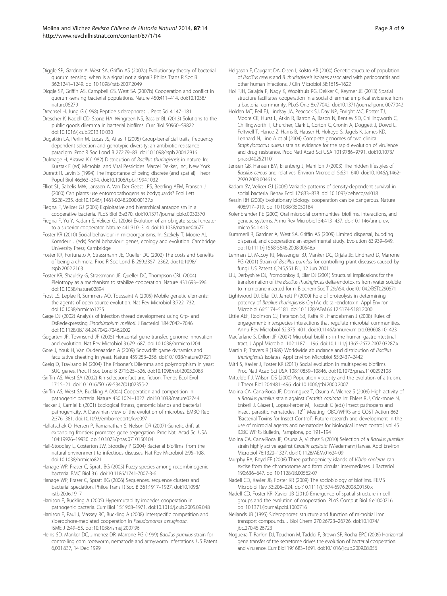- <span id="page-7-0"></span>Diggle SP, Gardner A, West SA, Griffin AS (2007a) Evolutionary theory of bacterial quorum sensing: when is a signal not a signal? Philos Trans R Soc B 362:1241–1249. doi:10.1098/rstb.2007.2049
- Diggle SP, Griffin AS, Campbell GS, West SA (2007b) Cooperation and conflict in quorum-sensing bacterial populations. Nature 450:411–414. doi:10.1038/ nature06279
- Drechsel H, Jung G (1998) Peptide siderophores. J Pept Sci 4:147–181

Drescher K, Nadell CD, Stone HA, Wingreen NS, Bassler BL (2013) Solutions to the public goods dilemma in bacterial biofilms. Curr Biol S0960–S9822. doi:10.1016/j.cub.2013.10.030

- Dugatkin LA, Perlin M, Lucas JS, Atlas R (2005) Group-beneficial traits, frequency dependent selection and genotypic diversity: an antibiotic resistance paradigm. Proc R Soc Lond B 272:79–83. doi:10.1098/rspb.2004.2916
- Dulmage H, Aizawa K (1982) Distribution of Bacillus thuringiensis in nature. In: Kurstak E (ed) Microbial and Viral Pesticides. Marcel Dekker, Inc., New York
- Durrett R, Levin S (1994) The importance of being discrete (and spatial). Theor Popul Biol 46:363–394. doi:10.1006/tpbi.1994.1032
- Elliot SL, Sabelis MW, Janssen A, Van Der Geest LPS, Beerling AEM, Fransen J (2000) Can plants use entomopathogens as bodyguards? Ecol Lett 3:228–235. doi:10.1046/j.1461-0248.2000.00137.x
- Fiegna F, Velicer GJ (2006) Exploitative and hierarchical antagonism in a cooperative bacteria. PLoS Biol 3:e370. doi:10.1371/journal.pbio.0030370
- Fiegna F, Yu Y, Kadam S, Velicer GJ (2006) Evolution of an obligate social cheater to a superior cooperator. Nature 441:310–314. doi:10.1038/nature04677
- Foster KR (2010) Social behaviour in microorganisms. In: Szekely T, Moore AJ, Komdeur J (eds) Social behaviour: genes, ecology and evolution. Cambridge University Press, Cambridge
- Foster KR, Fortunato A, Strassmann JE, Queller DC (2002) The costs and benefits of being a chimera. Proc R Soc Lond B 269:2357–2362. doi:10.1098/ rspb.2002.2163
- Foster KR, Shaulsky G, Strassmann JE, Queller DC, Thompson CRL (2004) Pleiotropy as a mechanism to stabilize cooperation. Nature 431:693–696. doi:10.1038/nature02894
- Frost LS, Leplae R, Summers AO, Toussaint A (2005) Mobile genetic elements: the agents of open source evolution. Nat Rev Microbiol 3:722–732. doi:10.1038/nrmicro1235
- Gage DJ (2002) Analysis of infection thread development using Gfp- and DsRedexpressing Sinorhizobium meliloti. J Bacteriol 184:7042–7046. doi:10.1128/JB.184.24.7042-7046.2002
- Gogarten JP, Townsend JP (2005) Horizontal gene transfer, genome innovation and evolution. Nat Rev Microbiol 3:679–687. doi:10.1038/nrmicro1204
- Gore J, Youk H, Van Oudenaarden A (2009) Snowdrift game dynamics and facultative cheating in yeast. Nature 459:253–256. doi:10.1038/nature07921
- Greig D, Travisano M (2004) The Prisoner's Dilemma and polymorphism in yeast SUC genes. Proc R Soc Lond B 271:S25–S26. doi:10.1098/rsbl.2003.0083
- Griffin AS, West SA (2002) Kin selection: fact and fiction. Trends Ecol Evol 17:15–21. doi:10.1016/S0169-5347(01)02355-2
- Griffin AS, West SA, Buckling A (2004) Cooperation and competition in pathogenic bacteria. Nature 430:1024–1027. doi:10.1038/nature02744

Hacker J, Carniel E (2001) Ecological fitness, genomic islands and bacterial pathogenicity. A Darwinian view of the evolution of microbes. EMBO Rep 2:376–381. doi:10.1093/embo-reports/kve097

Hallatschek O, Hersen P, Ramanathan S, Nelson DR (2007) Genetic drift at expanding frontiers promotes gene segregation. Proc Natl Acad Sci USA 104:19926–19930. doi:10.1073/pnas.0710150104

Hall-Stoodley L, Costerton JW, Stoodley P (2004) Bacterial biofilms: from the natural environment to infectious diseases. Nat Rev Microbiol 2:95–108. doi:10.1038/nrmicro821

- Hanage WP, Fraser C, Spratt BG (2005) Fuzzy species among recombinogenic bacteria. BMC Biol 3:6. doi:10.1186/1741-7007-3-6
- Hanage WP, Fraser C, Spratt BG (2006) Sequences, sequence clusters and bacterial speciation. Philos Trans R Soc B 361:1917–1927. doi:10.1098/ rstb.2006.1917
- Harrison F, Buckling A (2005) Hypermutability impedes cooperation in pathogenic bacteria. Curr Biol 15:1968–1971. doi:10.1016/j.cub.2005.09.048
- Harrison F, Paul J, Massey RC, Buckling A (2008) Interspecific competition and siderophore-mediated cooperation in Pseudomonas aeruginosa.
- ISME J 2:49–55. doi:10.1038/ismej.2007.96 Heins SD, Manker DC, Jimenez DR, Marrone PG (1999) Bacillus pumilus strain for
- controlling corn rootworm, nematode and armyworm infestations. US Patent 6,001,637, 14 Dec 1999
- Helgason E, Caugant DA, Olsen I, Kolsto AB (2000) Genetic structure of population of Bacillus cereus and B. thuringiensis isolates associated with periodontitis and other human infections. J Clin Microbiol 38:1615–1622
- Hol FJH, Galajda P, Nagy K, Woolthuis RG, Dekker C, Keymer JE (2013) Spatial structure facilitates cooperation in a social dilemma: empirical evidence from a bacterial community. PLoS One 8:e77042. doi:10.1371/journal.pone.0077042
- Holden MT, Feil EJ, Lindsay JA, Peacock SJ, Day NP, Enright MC, Foster TJ, Moore CE, Hurst L, Atkin R, Barron A, Bason N, Bentley SD, Chillingworth C, Chillingworth T, Churcher, Clark L, Corton C, Cronin A, Doggett J, Dowd L, Feltwell T, Hance Z, Harris B, Hauser H, Holroyd S, Jagels K, James KD, Lennard N, Line A et al (2004) Complete genomes of two clinical Staphylococcus aureus strains: evidence for the rapid evolution of virulence and drug resistance. Proc Natl Acad Sci USA 101:9786–9791. doi:10.1073/ pnas.0402521101
- Jensen GB, Hansen BM, Eilenberg J, Mahillon J (2003) The hidden lifestyles of Bacillus cereus and relatives. Environ Microbiol 5:631–640. doi:10.1046/j.1462- 2920.2003.00461.x
- Kadam SV, Velicer GJ (2006) Variable patterns of density-dependent survival in social bacteria. Behav Ecol 17:833–838. doi:10.1093/beheco/arl018
- Kessin RH (2000) Evolutionary biology: cooperation can be dangerous. Nature 408:917–919. doi:10.1038/35050184
- Kolenbrander PE (2000) Oral microbial communities: biofilms, interactions, and genetic systems. Annu Rev Microbiol 54:413–437. doi:10.1146/annurev. micro.54.1.413
- Kummerli R, Gardner A, West SA, Griffin AS (2009) Limited dispersal, budding dispersal, and cooperation: an experimental study. Evolution 63:939–949. doi:10.1111/j.1558-5646.2008.00548.x
- Lehman LJ, Mccoy RJ, Messenger BJ, Manker DC, Orjala JE, Lindhard D, Marrone PG (2001) Strain of Bacillus pumilus for controlling plant diseases caused by fungi. US Patent 6,245,551 B1, 12 Jun 2001
- Li J, Derbyshire DJ, Promdonkoy B, Ellar DJ (2001) Structural implications for the transformation of the Bacillus thuringiensis delta-endotoxins from water soluble to membrane inserted form. Biochem Soc T 29:A54. doi:10.1042/BST0290571
- Lightwood DJ, Ellar DJ, Jarrett P (2000) Role of proteolysis in determining potency of Bacillus thuringiensis Cry1Ac delta -endotoxin. Appl Environ Microbiol 66:5174–5181. doi:10.1128/AEM.66.12.5174-5181.2000
- Little AEF, Robinson CJ, Peterson SB, Raffa KF, Handelsman J (2008) Rules of engagement: interspecies interactions that regulate microbial communities. Annu Rev Microbiol 62:375–401. doi:10.1146/annurev.micro.030608.101423
- Macfarlane S, Dillon JF (2007) Microbial biofilms in the human gastrointestinal tract. J Appl Microbiol 102:1187–1196. doi:10.1111/j.1365-2672.2007.03287.x
- Martin P, Travers R (1989) Worldwide abundance and distribution of Bacillus thuringiensis isolates. Appl Environ Microbiol 55:2437–2442
- Mitri S, Xavier J, Foster KR (2011) Social evolution in multispecies biofilms. Proc Natl Acad Sci USA 108:10839–10846. doi:10.1073/pnas.1100292108
- Mitteldorf J, Wilson DS (2000) Population viscosity and the evolution of altruism. J Theor Biol 204:481–496. doi:10.1006/jtbi.2000.2007
- Molina CA, Cana-Roca JF, Dominguez T, Osuna A, Vilchez S (2009) High activity of a Bacillus pumilus strain against Ceratitis capitata. In: Ehlers RU, Crickmore N, Enkerli J, Glazer I, Lopez-Ferber M, Tkaczuk C (eds) Insect pathogens and insect parasitic nematodes. 12<sup>th</sup> Meeting IOBC/WPRS and COST Action 862 "Bacterial Toxins for Insect Control": Future research and development in the use of microbial agents and nematodes for biological insect control, vol 45. IOBC WPRS Bulletin, Pamplona, pp 191–194
- Molina CA, Cana-Roca JF, Osuna A, Vilchez S (2010) Selection of a Bacillus pumilus strain highly active against Ceratitis capitata (Wiedemann) larvae. Appl Environ Microbiol 76:1320–1327. doi:10.1128/AEM.01624-09
- Murphy RA, Boyd EF (2008) Three pathogenicity islands of Vibrio cholerae can excise from the chromosome and form circular intermediates. J Bacteriol 190:636–647. doi:10.1128/JB.00562-07
- Nadell CD, Xavier JB, Foster KR (2009) The sociobiology of biofilms. FEMS Microbiol Rev 33:206–224. doi:10.1111/j.1574-6976.2008.00150.x
- Nadell CD, Foster KR, Xavier JB (2010) Emergence of spatial structure in cell groups and the evolution of cooperation. PLoS Comput Biol 6:e1000716. doi:10.1371/journal.pcbi.1000716
- Neilands JB (1995) Siderophores: structure and function of microbial iron transport compounds. J Biol Chem 270:26723–26726. doi:10.1074/ jbc.270.45.26723
- Nogueira T, Rankin DJ, Touchon M, Taddei F, Brown SP, Rocha EPC (2009) Horizontal gene transfer of the secretome drives the evolution of bacterial cooperation and virulence. Curr Biol 19:1683–1691. doi:10.1016/j.cub.2009.08.056